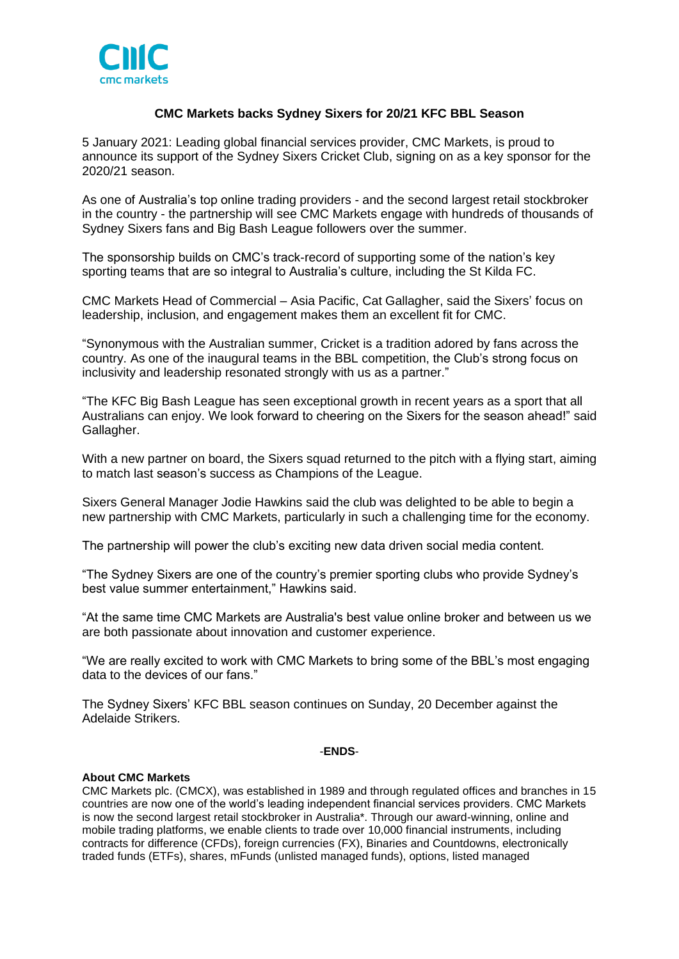

# **CMC Markets backs Sydney Sixers for 20/21 KFC BBL Season**

5 January 2021: Leading global financial services provider, CMC Markets, is proud to announce its support of the Sydney Sixers Cricket Club, signing on as a key sponsor for the 2020/21 season.

As one of Australia's top online trading providers - and the second largest retail stockbroker in the country - the partnership will see CMC Markets engage with hundreds of thousands of Sydney Sixers fans and Big Bash League followers over the summer.

The sponsorship builds on CMC's track-record of supporting some of the nation's key sporting teams that are so integral to Australia's culture, including the St Kilda FC.

CMC Markets Head of Commercial – Asia Pacific, Cat Gallagher, said the Sixers' focus on leadership, inclusion, and engagement makes them an excellent fit for CMC.

"Synonymous with the Australian summer, Cricket is a tradition adored by fans across the country. As one of the inaugural teams in the BBL competition, the Club's strong focus on inclusivity and leadership resonated strongly with us as a partner."

"The KFC Big Bash League has seen exceptional growth in recent years as a sport that all Australians can enjoy. We look forward to cheering on the Sixers for the season ahead!" said Gallagher.

With a new partner on board, the Sixers squad returned to the pitch with a flying start, aiming to match last season's success as Champions of the League.

Sixers General Manager Jodie Hawkins said the club was delighted to be able to begin a new partnership with CMC Markets, particularly in such a challenging time for the economy.

The partnership will power the club's exciting new data driven social media content.

"The Sydney Sixers are one of the country's premier sporting clubs who provide Sydney's best value summer entertainment," Hawkins said.

"At the same time CMC Markets are Australia's best value online broker and between us we are both passionate about innovation and customer experience.

"We are really excited to work with CMC Markets to bring some of the BBL's most engaging data to the devices of our fans."

The Sydney Sixers' KFC BBL season continues on Sunday, 20 December against the Adelaide Strikers.

### -**ENDS**-

### **About CMC Markets**

CMC Markets plc. (CMCX), was established in 1989 and through regulated offices and branches in 15 countries are now one of the world's leading independent financial services providers. CMC Markets is now the second largest retail stockbroker in Australia\*. Through our award-winning, online and mobile trading platforms, we enable clients to trade over 10,000 financial instruments, including contracts for difference (CFDs), foreign currencies (FX), Binaries and Countdowns, electronically traded funds (ETFs), shares, mFunds (unlisted managed funds), options, listed managed